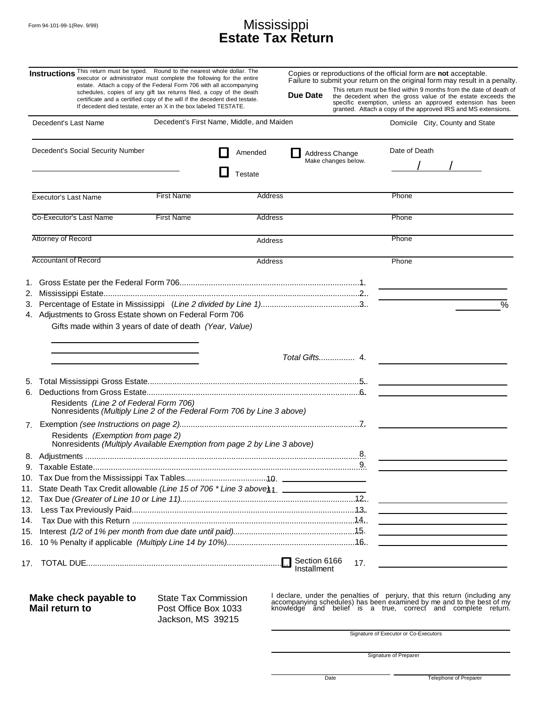## Form 94-101-99-1(Rev. 9/99)  $M$ ississippi **Estate Tax Return**

| Instructions This return must be typed. Round to the nearest whole dollar. The                               | executor or administrator must complete the following for the entire<br>estate. Attach a copy of the Federal Form 706 with all accompanying<br>schedules, copies of any gift tax returns filed, a copy of the death<br>certificate and a certified copy of the will if the decedent died testate.<br>If decedent died testate, enter an X in the box labeled TESTATE. | Due Date                              | Copies or reproductions of the official form are <b>not</b> acceptable.<br>Failure to submit your return on the original form may result in a penalty.<br>This return must be filed within 9 months from the date of death of<br>the decedent when the gross value of the estate exceeds the<br>specific exemption, unless an approved extension has been<br>granted. Attach a copy of the approved IRS and MS extensions. |  |
|--------------------------------------------------------------------------------------------------------------|-----------------------------------------------------------------------------------------------------------------------------------------------------------------------------------------------------------------------------------------------------------------------------------------------------------------------------------------------------------------------|---------------------------------------|----------------------------------------------------------------------------------------------------------------------------------------------------------------------------------------------------------------------------------------------------------------------------------------------------------------------------------------------------------------------------------------------------------------------------|--|
| Decedent's Last Name                                                                                         | Decedent's First Name, Middle, and Maiden                                                                                                                                                                                                                                                                                                                             |                                       | Domicile City, County and State                                                                                                                                                                                                                                                                                                                                                                                            |  |
| Decedent's Social Security Number                                                                            | Amended<br>Testate                                                                                                                                                                                                                                                                                                                                                    | Address Change<br>Make changes below. | Date of Death                                                                                                                                                                                                                                                                                                                                                                                                              |  |
| <b>Executor's Last Name</b>                                                                                  | <b>First Name</b>                                                                                                                                                                                                                                                                                                                                                     | Address                               | Phone                                                                                                                                                                                                                                                                                                                                                                                                                      |  |
| Co-Executor's Last Name                                                                                      | <b>First Name</b>                                                                                                                                                                                                                                                                                                                                                     | Address                               | Phone                                                                                                                                                                                                                                                                                                                                                                                                                      |  |
| Attorney of Record                                                                                           |                                                                                                                                                                                                                                                                                                                                                                       | Address                               | Phone                                                                                                                                                                                                                                                                                                                                                                                                                      |  |
| <b>Accountant of Record</b>                                                                                  |                                                                                                                                                                                                                                                                                                                                                                       | Address                               | Phone                                                                                                                                                                                                                                                                                                                                                                                                                      |  |
| 4. Adjustments to Gross Estate shown on Federal Form 706                                                     | Gifts made within 3 years of date of death (Year, Value)                                                                                                                                                                                                                                                                                                              | Total Gifts 4.                        | $\overline{\%}$                                                                                                                                                                                                                                                                                                                                                                                                            |  |
| 6.<br>Residents (Line 2 of Federal Form 706)                                                                 | Nonresidents (Multiply Line 2 of the Federal Form 706 by Line 3 above)                                                                                                                                                                                                                                                                                                |                                       |                                                                                                                                                                                                                                                                                                                                                                                                                            |  |
| Residents (Exemption from page 2)                                                                            | Nonresidents (Multiply Available Exemption from page 2 by Line 3 above)                                                                                                                                                                                                                                                                                               |                                       |                                                                                                                                                                                                                                                                                                                                                                                                                            |  |
| 11. State Death Tax Credit allowable (Line 15 of 706 * Line 3 above) 1.<br>13.                               |                                                                                                                                                                                                                                                                                                                                                                       | 8.                                    | <u> The Communication of the Communication of the Communication of the Communication of the Communication of the Co</u>                                                                                                                                                                                                                                                                                                    |  |
| 14.                                                                                                          |                                                                                                                                                                                                                                                                                                                                                                       |                                       | <u> Alexandria de la contrada de la contrada de la contrada de la contrada de la contrada de la contrada de la c</u><br>the contract of the contract of the contract of the contract of the contract of                                                                                                                                                                                                                    |  |
|                                                                                                              |                                                                                                                                                                                                                                                                                                                                                                       | 17.<br>Installment                    |                                                                                                                                                                                                                                                                                                                                                                                                                            |  |
| Make check payable to<br>State Tax Commission<br>Mail return to<br>Post Office Box 1033<br>Jackson, MS 39215 |                                                                                                                                                                                                                                                                                                                                                                       |                                       | I declare, under the penalties of perjury, that this return (including any accompanying schedules) has been examined by me and to the best of my<br>knowledge and belief is a true, correct and complete return.                                                                                                                                                                                                           |  |
|                                                                                                              |                                                                                                                                                                                                                                                                                                                                                                       |                                       | Signature of Executor or Co-Executors                                                                                                                                                                                                                                                                                                                                                                                      |  |

Signature of Preparer